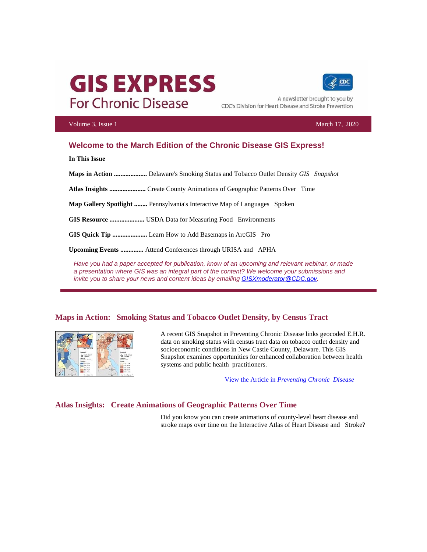# **GIS EXPRESS For Chronic Disease**



A newsletter brought to you by CDC's Division for Heart Disease and Stroke Prevention

#### Volume 3, Issue 1 March 17, 2020

### **Welcome to the March Edition of the Chronic Disease GIS Express!**

**In This Issue**

**Maps in Action ....................** Delaware's Smoking Status and Tobacco Outlet Density *GIS Snapshot*

**Atlas Insights ......................** Create County Animations of Geographic Patterns Over Time

**Map Gallery Spotlight ........** Pennsylvania's Interactive Map of Languages Spoken

**GIS Resource .....................** USDA Data for Measuring Food Environments

**GIS Quick Tip .....................** Learn How to Add Basemaps in ArcGIS Pro

**Upcoming Events ..............** Attend Conferences through URISA and APHA

Have you had a paper accepted for publication, know of an upcoming and relevant webinar, or made *a presentation where GIS was an integral part of the content? We welcome your submissions and invite you to share your news and content ideas by emailin[g GISXmoderator@CDC.gov.](mailto:GISXmoderator@CDC.gov)*

#### **Maps in Action: Smoking Status and Tobacco Outlet Density, by Census Tract**



A recent GIS Snapshot in Preventing Chronic Disease links geocoded E.H.R. data on smoking status with census tract data on tobacco outlet density and socioeconomic conditions in New Castle County, Delaware. This GIS Snapshot examines opportunities for enhanced collaboration between health systems and public health practitioners.

View the Article in *[Preventing Chronic Disease](https://t.emailupdates.cdc.gov/r/?id=hc94da8d%2C4f131c3%2C51177ba)*

#### **Atlas Insights: Create Animations of Geographic Patterns Over Time**

Did you know you can create animations of county-level heart disease and stroke maps over time on the Interactive Atlas of Heart Disease and Stroke?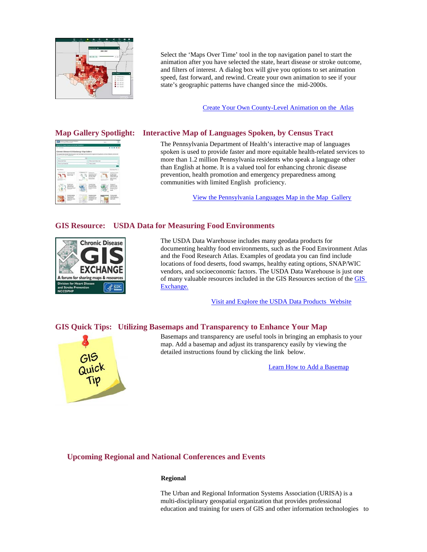

Select the 'Maps Over Time' tool in the top navigation panel to start the animation after you have selected the state, heart disease or stroke outcome, and filters of interest. A dialog box will give you options to set animation speed, fast forward, and rewind. Create your own animation to see if your state's geographic patterns have changed since the mid-2000s.

[Create Your Own County-Level Animation on the Atlas](https://t.emailupdates.cdc.gov/r/?id=hc94da8d%2C4f131c3%2C51177bb)

| Chrynie Dionese GS Enchange Map Gallery<br>In the prior fields to high fields to be a child to the fields change of the statement compositions in the prior of the additional composition<br>law less than the free and opportunities. |   |                                                                              | <b>STATISTICS</b>                                                                                          |
|----------------------------------------------------------------------------------------------------------------------------------------------------------------------------------------------------------------------------------------|---|------------------------------------------------------------------------------|------------------------------------------------------------------------------------------------------------|
| <b>Service</b>                                                                                                                                                                                                                         | ٠ |                                                                              |                                                                                                            |
| <b>Plan by Paul &amp; Triple</b>                                                                                                                                                                                                       | ٠ | We is he in her list.                                                        |                                                                                                            |
| For in Auto Formulae                                                                                                                                                                                                                   | v | the factory.                                                                 |                                                                                                            |
| <b><i><u>Sun Wars</u></i></b>                                                                                                                                                                                                          |   |                                                                              | best beautiful in                                                                                          |
| <b>Star &amp; Service</b><br>$\sim$                                                                                                                                                                                                    |   |                                                                              | $\sim$<br><b>Lating task</b><br>a historical<br>spinister laste<br><b>Televille Townloa</b><br>the control |
| <b>LASTER</b><br><b>MAY DAY 1</b><br>--                                                                                                                                                                                                |   |                                                                              | $-20$<br><b>STATES AT</b><br>and Thomas area                                                               |
| <b><i><u>PERMIT</u></i></b><br><b><i>RRAIN</i></b><br>1.11                                                                                                                                                                             |   | <b>International</b><br>it made a starte<br>pergera list<br><b>Valencial</b> | <br><b>CELEBRATION</b><br><b>A SACRA</b>                                                                   |

#### **Map Gallery Spotlight: Interactive Map of Languages Spoken, by Census Tract**

The Pennsylvania Department of Health's interactive map of languages spoken is used to provide faster and more equitable health-related services to more than 1.2 million Pennsylvania residents who speak a language other than English at home. It is a valued tool for enhancing chronic disease prevention, health promotion and emergency preparedness among communities with limited English proficiency.

[View the Pennsylvania Languages Map in the Map Gallery](https://t.emailupdates.cdc.gov/r/?id=hc94da8d%2C4f131c3%2C51177bc)

#### **GIS Resource: USDA Data for Measuring Food Environments**



The USDA Data Warehouse includes many geodata products for documenting healthy food environments, such as the Food Environment Atlas and the Food Research Atlas. Examples of geodata you can find include locations of food deserts, food swamps, healthy eating options, SNAP/WIC vendors, and socioeconomic factors. The USDA Data Warehouse is just one of many valuable resources included in the GIS Resources section of th[e GIS](https://t.emailupdates.cdc.gov/r/?id=hc94da8d%2C4f131c3%2C51177bd) [Exchange.](https://t.emailupdates.cdc.gov/r/?id=hc94da8d%2C4f131c3%2C51177bd)

[Visit and Explore the USDA Data Products Website](https://t.emailupdates.cdc.gov/r/?id=hc94da8d%2C4f131c3%2C51177be)

#### **GIS Quick Tips: Utilizing Basemaps and Transparency to Enhance Your Map**



Basemaps and transparency are useful tools in bringing an emphasis to your map. Add a basemap and adjust its transparency easily by viewing the detailed instructions found by clicking the link below.

[Learn How to Add a Basemap](https://t.emailupdates.cdc.gov/r/?id=hc94da8d%2C4f131c3%2C51177bf)

#### **Upcoming Regional and National Conferences and Events**

#### **Regional**

The Urban and Regional Information Systems Association (URISA) is a multi-disciplinary geospatial organization that provides professional education and training for users of GIS and other information technologies to